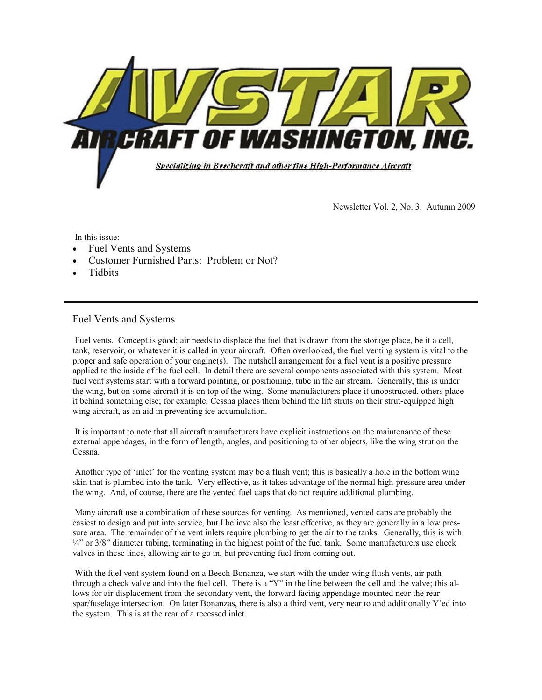

Newsletter Vol. 2, No. 3. Autumn 2009

In this issue:

- Fuel Vents and Systems
- Customer Furnished Parts: Problem or Not?
- **Tidbits**

## Fuel Vents and Systems

 Fuel vents. Concept is good; air needs to displace the fuel that is drawn from the storage place, be it a cell, tank, reservoir, or whatever it is called in your aircraft. Often overlooked, the fuel venting system is vital to the proper and safe operation of your engine(s). The nutshell arrangement for a fuel vent is a positive pressure applied to the inside of the fuel cell. In detail there are several components associated with this system. Most fuel vent systems start with a forward pointing, or positioning, tube in the air stream. Generally, this is under the wing, but on some aircraft it is on top of the wing. Some manufacturers place it unobstructed, others place it behind something else; for example, Cessna places them behind the lift struts on their strut-equipped high wing aircraft, as an aid in preventing ice accumulation.

 It is important to note that all aircraft manufacturers have explicit instructions on the maintenance of these external appendages, in the form of length, angles, and positioning to other objects, like the wing strut on the Cessna.

 Another type of 'inlet' for the venting system may be a flush vent; this is basically a hole in the bottom wing skin that is plumbed into the tank. Very effective, as it takes advantage of the normal high-pressure area under the wing. And, of course, there are the vented fuel caps that do not require additional plumbing.

 Many aircraft use a combination of these sources for venting. As mentioned, vented caps are probably the easiest to design and put into service, but I believe also the least effective, as they are generally in a low pressure area. The remainder of the vent inlets require plumbing to get the air to the tanks. Generally, this is with  $\frac{1}{4}$ " or 3/8" diameter tubing, terminating in the highest point of the fuel tank. Some manufacturers use check valves in these lines, allowing air to go in, but preventing fuel from coming out.

 With the fuel vent system found on a Beech Bonanza, we start with the under-wing flush vents, air path through a check valve and into the fuel cell. There is a "Y" in the line between the cell and the valve; this allows for air displacement from the secondary vent, the forward facing appendage mounted near the rear spar/fuselage intersection. On later Bonanzas, there is also a third vent, very near to and additionally Y'ed into the system. This is at the rear of a recessed inlet.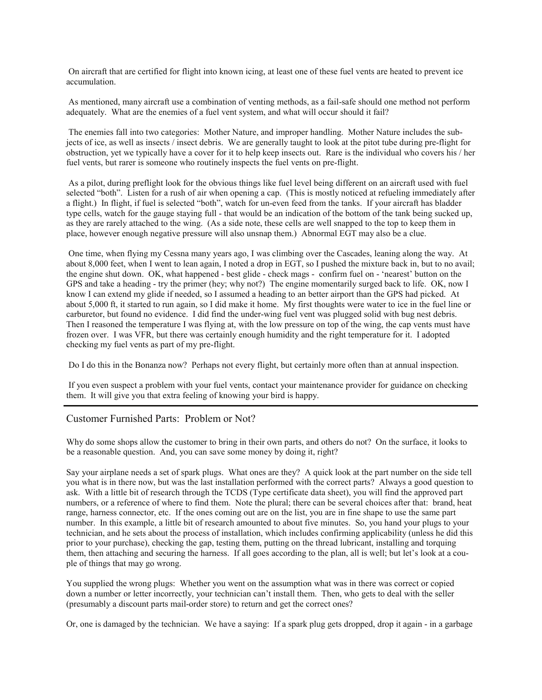On aircraft that are certified for flight into known icing, at least one of these fuel vents are heated to prevent ice accumulation.

 As mentioned, many aircraft use a combination of venting methods, as a fail-safe should one method not perform adequately. What are the enemies of a fuel vent system, and what will occur should it fail?

 The enemies fall into two categories: Mother Nature, and improper handling. Mother Nature includes the subjects of ice, as well as insects / insect debris. We are generally taught to look at the pitot tube during pre-flight for obstruction, yet we typically have a cover for it to help keep insects out. Rare is the individual who covers his / her fuel vents, but rarer is someone who routinely inspects the fuel vents on pre-flight.

 As a pilot, during preflight look for the obvious things like fuel level being different on an aircraft used with fuel selected "both". Listen for a rush of air when opening a cap. (This is mostly noticed at refueling immediately after a flight.) In flight, if fuel is selected "both", watch for un-even feed from the tanks. If your aircraft has bladder type cells, watch for the gauge staying full - that would be an indication of the bottom of the tank being sucked up, as they are rarely attached to the wing. (As a side note, these cells are well snapped to the top to keep them in place, however enough negative pressure will also unsnap them.) Abnormal EGT may also be a clue.

 One time, when flying my Cessna many years ago, I was climbing over the Cascades, leaning along the way. At about 8,000 feet, when I went to lean again, I noted a drop in EGT, so I pushed the mixture back in, but to no avail; the engine shut down. OK, what happened - best glide - check mags - confirm fuel on - 'nearest' button on the GPS and take a heading - try the primer (hey; why not?) The engine momentarily surged back to life. OK, now I know I can extend my glide if needed, so I assumed a heading to an better airport than the GPS had picked. At about 5,000 ft, it started to run again, so I did make it home. My first thoughts were water to ice in the fuel line or carburetor, but found no evidence. I did find the under-wing fuel vent was plugged solid with bug nest debris. Then I reasoned the temperature I was flying at, with the low pressure on top of the wing, the cap vents must have frozen over. I was VFR, but there was certainly enough humidity and the right temperature for it. I adopted checking my fuel vents as part of my pre-flight.

Do I do this in the Bonanza now? Perhaps not every flight, but certainly more often than at annual inspection.

 If you even suspect a problem with your fuel vents, contact your maintenance provider for guidance on checking them. It will give you that extra feeling of knowing your bird is happy.

## Customer Furnished Parts: Problem or Not?

Why do some shops allow the customer to bring in their own parts, and others do not? On the surface, it looks to be a reasonable question. And, you can save some money by doing it, right?

Say your airplane needs a set of spark plugs. What ones are they? A quick look at the part number on the side tell you what is in there now, but was the last installation performed with the correct parts? Always a good question to ask. With a little bit of research through the TCDS (Type certificate data sheet), you will find the approved part numbers, or a reference of where to find them. Note the plural; there can be several choices after that: brand, heat range, harness connector, etc. If the ones coming out are on the list, you are in fine shape to use the same part number. In this example, a little bit of research amounted to about five minutes. So, you hand your plugs to your technician, and he sets about the process of installation, which includes confirming applicability (unless he did this prior to your purchase), checking the gap, testing them, putting on the thread lubricant, installing and torquing them, then attaching and securing the harness. If all goes according to the plan, all is well; but let's look at a couple of things that may go wrong.

You supplied the wrong plugs: Whether you went on the assumption what was in there was correct or copied down a number or letter incorrectly, your technician can't install them. Then, who gets to deal with the seller (presumably a discount parts mail-order store) to return and get the correct ones?

Or, one is damaged by the technician. We have a saying: If a spark plug gets dropped, drop it again - in a garbage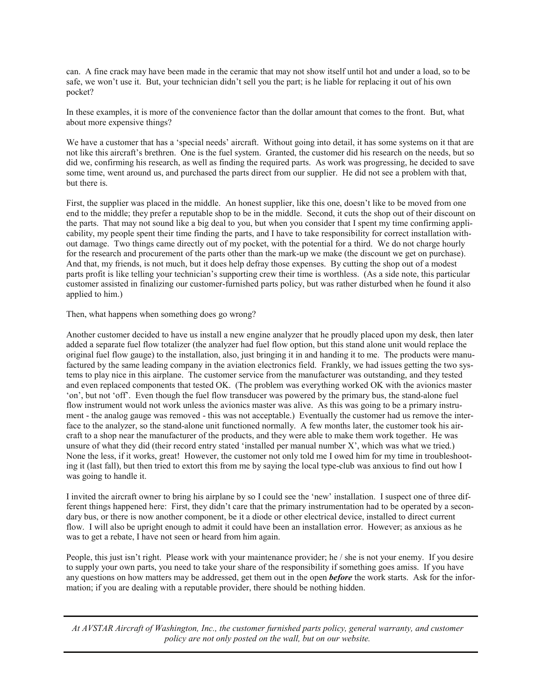can. A fine crack may have been made in the ceramic that may not show itself until hot and under a load, so to be safe, we won't use it. But, your technician didn't sell you the part; is he liable for replacing it out of his own pocket?

In these examples, it is more of the convenience factor than the dollar amount that comes to the front. But, what about more expensive things?

We have a customer that has a 'special needs' aircraft. Without going into detail, it has some systems on it that are not like this aircraft's brethren. One is the fuel system. Granted, the customer did his research on the needs, but so did we, confirming his research, as well as finding the required parts. As work was progressing, he decided to save some time, went around us, and purchased the parts direct from our supplier. He did not see a problem with that, but there is.

First, the supplier was placed in the middle. An honest supplier, like this one, doesn't like to be moved from one end to the middle; they prefer a reputable shop to be in the middle. Second, it cuts the shop out of their discount on the parts. That may not sound like a big deal to you, but when you consider that I spent my time confirming applicability, my people spent their time finding the parts, and I have to take responsibility for correct installation without damage. Two things came directly out of my pocket, with the potential for a third. We do not charge hourly for the research and procurement of the parts other than the mark-up we make (the discount we get on purchase). And that, my friends, is not much, but it does help defray those expenses. By cutting the shop out of a modest parts profit is like telling your technician's supporting crew their time is worthless. (As a side note, this particular customer assisted in finalizing our customer-furnished parts policy, but was rather disturbed when he found it also applied to him.)

Then, what happens when something does go wrong?

Another customer decided to have us install a new engine analyzer that he proudly placed upon my desk, then later added a separate fuel flow totalizer (the analyzer had fuel flow option, but this stand alone unit would replace the original fuel flow gauge) to the installation, also, just bringing it in and handing it to me. The products were manufactured by the same leading company in the aviation electronics field. Frankly, we had issues getting the two systems to play nice in this airplane. The customer service from the manufacturer was outstanding, and they tested and even replaced components that tested OK. (The problem was everything worked OK with the avionics master 'on', but not 'off'. Even though the fuel flow transducer was powered by the primary bus, the stand-alone fuel flow instrument would not work unless the avionics master was alive. As this was going to be a primary instrument - the analog gauge was removed - this was not acceptable.) Eventually the customer had us remove the interface to the analyzer, so the stand-alone unit functioned normally. A few months later, the customer took his aircraft to a shop near the manufacturer of the products, and they were able to make them work together. He was unsure of what they did (their record entry stated 'installed per manual number X', which was what we tried.) None the less, if it works, great! However, the customer not only told me I owed him for my time in troubleshooting it (last fall), but then tried to extort this from me by saying the local type-club was anxious to find out how I was going to handle it.

I invited the aircraft owner to bring his airplane by so I could see the 'new' installation. I suspect one of three different things happened here: First, they didn't care that the primary instrumentation had to be operated by a secondary bus, or there is now another component, be it a diode or other electrical device, installed to direct current flow. I will also be upright enough to admit it could have been an installation error. However; as anxious as he was to get a rebate, I have not seen or heard from him again.

People, this just isn't right. Please work with your maintenance provider; he / she is not your enemy. If you desire to supply your own parts, you need to take your share of the responsibility if something goes amiss. If you have any questions on how matters may be addressed, get them out in the open *before* the work starts. Ask for the information; if you are dealing with a reputable provider, there should be nothing hidden.

*At AVSTAR Aircraft of Washington, Inc., the customer furnished parts policy, general warranty, and customer policy are not only posted on the wall, but on our website.*